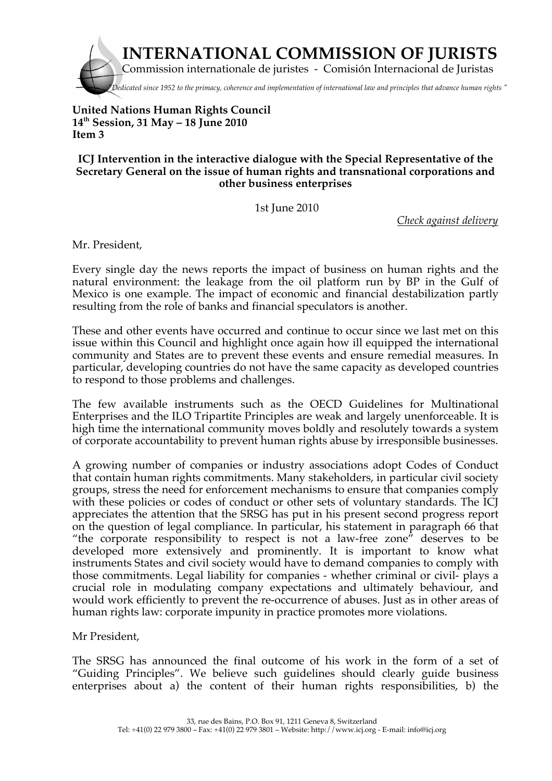

## **United Nations Human Rights Council 14th Session, 31 May – 18 June 2010 Item 3**

## **ICJ Intervention in the interactive dialogue with the Special Representative of the Secretary General on the issue of human rights and transnational corporations and other business enterprises**

1st June 2010

*Check against delivery* 

Mr. President,

Every single day the news reports the impact of business on human rights and the natural environment: the leakage from the oil platform run by BP in the Gulf of Mexico is one example. The impact of economic and financial destabilization partly resulting from the role of banks and financial speculators is another.

These and other events have occurred and continue to occur since we last met on this issue within this Council and highlight once again how ill equipped the international community and States are to prevent these events and ensure remedial measures. In particular, developing countries do not have the same capacity as developed countries to respond to those problems and challenges.

The few available instruments such as the OECD Guidelines for Multinational Enterprises and the ILO Tripartite Principles are weak and largely unenforceable. It is high time the international community moves boldly and resolutely towards a system of corporate accountability to prevent human rights abuse by irresponsible businesses.

A growing number of companies or industry associations adopt Codes of Conduct that contain human rights commitments. Many stakeholders, in particular civil society groups, stress the need for enforcement mechanisms to ensure that companies comply with these policies or codes of conduct or other sets of voluntary standards. The ICJ appreciates the attention that the SRSG has put in his present second progress report on the question of legal compliance. In particular, his statement in paragraph 66 that "the corporate responsibility to respect is not a law-free zone" deserves to be developed more extensively and prominently. It is important to know what instruments States and civil society would have to demand companies to comply with those commitments. Legal liability for companies - whether criminal or civil- plays a crucial role in modulating company expectations and ultimately behaviour, and would work efficiently to prevent the re-occurrence of abuses. Just as in other areas of human rights law: corporate impunity in practice promotes more violations.

Mr President,

The SRSG has announced the final outcome of his work in the form of a set of "Guiding Principles". We believe such guidelines should clearly guide business enterprises about a) the content of their human rights responsibilities, b) the